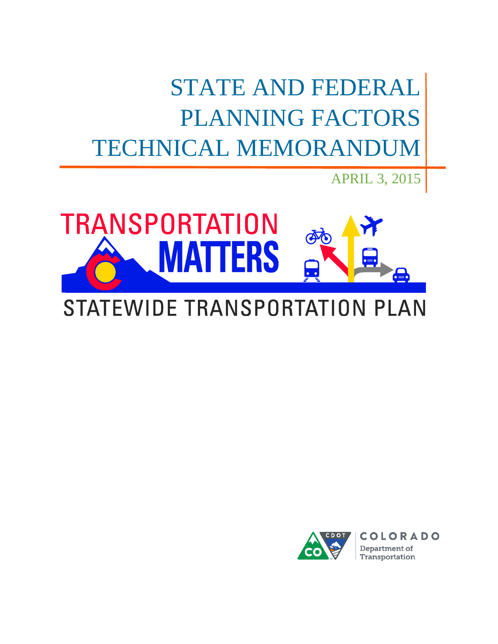STATE AND FEDERAL PLANNING FACTORS TECHNICAL MEMORANDUM

**TRANSPORTATION** FRS  $\bullet$   $\equiv$ 

# STATEWIDE TRANSPORTATION PLAN



APRIL 3, 2015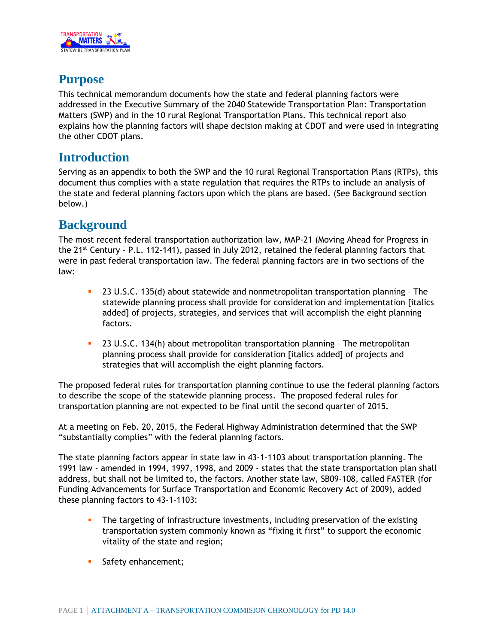

### **Purpose**

This technical memorandum documents how the state and federal planning factors were addressed in the Executive Summary of the 2040 Statewide Transportation Plan: Transportation Matters (SWP) and in the 10 rural Regional Transportation Plans. This technical report also explains how the planning factors will shape decision making at CDOT and were used in integrating the other CDOT plans.

### **Introduction**

Serving as an appendix to both the SWP and the 10 rural Regional Transportation Plans (RTPs), this document thus complies with a state regulation that requires the RTPs to include an analysis of the state and federal planning factors upon which the plans are based. (See Background section below.)

### **Background**

The most recent federal transportation authorization law, MAP-21 (Moving Ahead for Progress in the 21<sup>st</sup> Century - P.L. 112-141), passed in July 2012, retained the federal planning factors that were in past federal transportation law. The federal planning factors are in two sections of the law:

- 23 U.S.C. 135(d) about statewide and nonmetropolitan transportation planning The statewide planning process shall provide for consideration and implementation [italics added] of projects, strategies, and services that will accomplish the eight planning factors.
- 23 U.S.C. 134(h) about metropolitan transportation planning The metropolitan planning process shall provide for consideration [italics added] of projects and strategies that will accomplish the eight planning factors.

The proposed federal rules for transportation planning continue to use the federal planning factors to describe the scope of the statewide planning process. The proposed federal rules for transportation planning are not expected to be final until the second quarter of 2015.

At a meeting on Feb. 20, 2015, the Federal Highway Administration determined that the SWP "substantially complies" with the federal planning factors.

The state planning factors appear in state law in 43-1-1103 about transportation planning. The 1991 law - amended in 1994, 1997, 1998, and 2009 - states that the state transportation plan shall address, but shall not be limited to, the factors. Another state law, SB09-108, called FASTER (for Funding Advancements for Surface Transportation and Economic Recovery Act of 2009), added these planning factors to 43-1-1103:

- The targeting of infrastructure investments, including preservation of the existing transportation system commonly known as "fixing it first" to support the economic vitality of the state and region;
- **Safety enhancement;**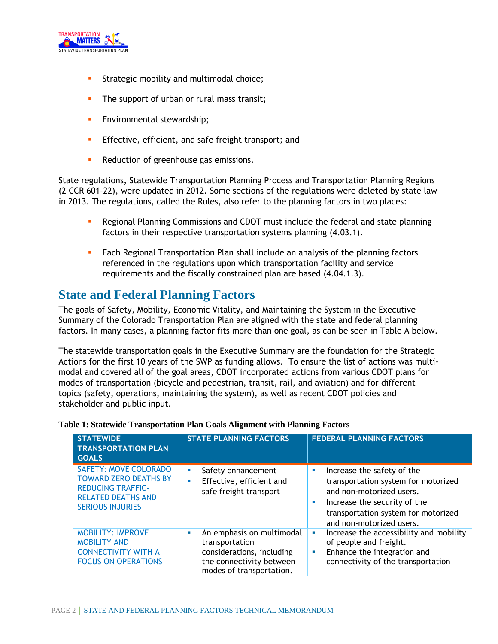

- **Strategic mobility and multimodal choice;**
- The support of urban or rural mass transit;
- **Environmental stewardship;**
- **Effective, efficient, and safe freight transport; and**
- Reduction of greenhouse gas emissions.

State regulations, Statewide Transportation Planning Process and Transportation Planning Regions (2 CCR 601-22), were updated in 2012. Some sections of the regulations were deleted by state law in 2013. The regulations, called the Rules, also refer to the planning factors in two places:

- Regional Planning Commissions and CDOT must include the federal and state planning factors in their respective transportation systems planning (4.03.1).
- **Each Regional Transportation Plan shall include an analysis of the planning factors** referenced in the regulations upon which transportation facility and service requirements and the fiscally constrained plan are based (4.04.1.3).

#### **State and Federal Planning Factors**

The goals of Safety, Mobility, Economic Vitality, and Maintaining the System in the Executive Summary of the Colorado Transportation Plan are aligned with the state and federal planning factors. In many cases, a planning factor fits more than one goal, as can be seen in Table A below.

The statewide transportation goals in the Executive Summary are the foundation for the Strategic Actions for the first 10 years of the SWP as funding allows. To ensure the list of actions was multimodal and covered all of the goal areas, CDOT incorporated actions from various CDOT plans for modes of transportation (bicycle and pedestrian, transit, rail, and aviation) and for different topics (safety, operations, maintaining the system), as well as recent CDOT policies and stakeholder and public input.

| <b>STATEWIDE</b><br><b>TRANSPORTATION PLAN</b><br><b>GOALS</b>                                                                                   | <b>STATE PLANNING FACTORS</b>                                                                                                         | <b>FEDERAL PLANNING FACTORS</b>                                                                                                                                                                            |
|--------------------------------------------------------------------------------------------------------------------------------------------------|---------------------------------------------------------------------------------------------------------------------------------------|------------------------------------------------------------------------------------------------------------------------------------------------------------------------------------------------------------|
| <b>SAFETY: MOVE COLORADO</b><br><b>TOWARD ZERO DEATHS BY</b><br><b>REDUCING TRAFFIC-</b><br><b>RELATED DEATHS AND</b><br><b>SERIOUS INJURIES</b> | Safety enhancement<br>Effective, efficient and<br>٠<br>safe freight transport                                                         | Increase the safety of the<br>ш<br>transportation system for motorized<br>and non-motorized users.<br>Increase the security of the<br>п<br>transportation system for motorized<br>and non-motorized users. |
| <b>MOBILITY: IMPROVE</b><br><b>MOBILITY AND</b><br><b>CONNECTIVITY WITH A</b><br><b>FOCUS ON OPERATIONS</b>                                      | An emphasis on multimodal<br>п<br>transportation<br>considerations, including<br>the connectivity between<br>modes of transportation. | Increase the accessibility and mobility<br>L.<br>of people and freight.<br>Enhance the integration and<br>п<br>connectivity of the transportation                                                          |

|  | Table 1: Statewide Transportation Plan Goals Alignment with Planning Factors |  |  |  |
|--|------------------------------------------------------------------------------|--|--|--|
|  |                                                                              |  |  |  |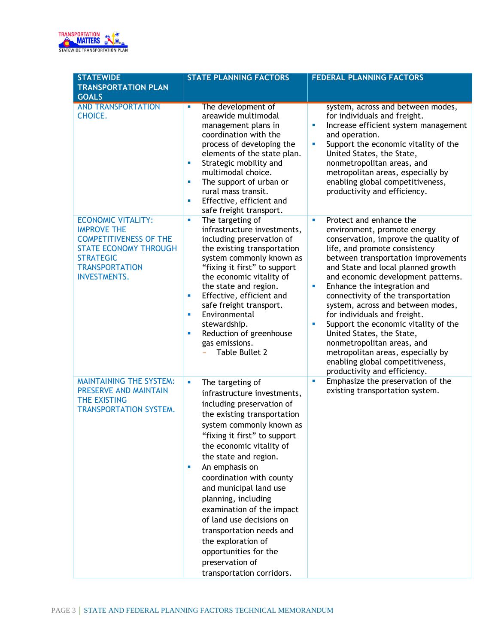

| <b>STATEWIDE</b>                                                                                                                                                                     | <b>STATE PLANNING FACTORS</b>                                                                                                                                                                                                                                                                                                                                                                                                                                                                                              | <b>FEDERAL PLANNING FACTORS</b>                                                                                                                                                                                                                                                                                                                                                                                                                                                                                                                                                                                         |
|--------------------------------------------------------------------------------------------------------------------------------------------------------------------------------------|----------------------------------------------------------------------------------------------------------------------------------------------------------------------------------------------------------------------------------------------------------------------------------------------------------------------------------------------------------------------------------------------------------------------------------------------------------------------------------------------------------------------------|-------------------------------------------------------------------------------------------------------------------------------------------------------------------------------------------------------------------------------------------------------------------------------------------------------------------------------------------------------------------------------------------------------------------------------------------------------------------------------------------------------------------------------------------------------------------------------------------------------------------------|
| <b>TRANSPORTATION PLAN</b>                                                                                                                                                           |                                                                                                                                                                                                                                                                                                                                                                                                                                                                                                                            |                                                                                                                                                                                                                                                                                                                                                                                                                                                                                                                                                                                                                         |
| <b>GOALS</b>                                                                                                                                                                         |                                                                                                                                                                                                                                                                                                                                                                                                                                                                                                                            |                                                                                                                                                                                                                                                                                                                                                                                                                                                                                                                                                                                                                         |
| <b>AND TRANSPORTATION</b><br>CHOICE.                                                                                                                                                 | The development of<br>a.<br>areawide multimodal<br>management plans in<br>coordination with the<br>process of developing the<br>elements of the state plan.<br>Strategic mobility and<br>ш<br>multimodal choice.<br>The support of urban or<br>ш<br>rural mass transit.<br>Effective, efficient and<br>ш<br>safe freight transport.                                                                                                                                                                                        | system, across and between modes,<br>for individuals and freight.<br>Increase efficient system management<br>u,<br>and operation.<br>Support the economic vitality of the<br>×<br>United States, the State,<br>nonmetropolitan areas, and<br>metropolitan areas, especially by<br>enabling global competitiveness,<br>productivity and efficiency.                                                                                                                                                                                                                                                                      |
| <b>ECONOMIC VITALITY:</b><br><b>IMPROVE THE</b><br><b>COMPETITIVENESS OF THE</b><br><b>STATE ECONOMY THROUGH</b><br><b>STRATEGIC</b><br><b>TRANSPORTATION</b><br><b>INVESTMENTS.</b> | The targeting of<br>a,<br>infrastructure investments,<br>including preservation of<br>the existing transportation<br>system commonly known as<br>"fixing it first" to support<br>the economic vitality of<br>the state and region.<br>Effective, efficient and<br>ш<br>safe freight transport.<br>Environmental<br>ш<br>stewardship.<br>Reduction of greenhouse<br>ш<br>gas emissions.<br>Table Bullet 2                                                                                                                   | Protect and enhance the<br>×<br>environment, promote energy<br>conservation, improve the quality of<br>life, and promote consistency<br>between transportation improvements<br>and State and local planned growth<br>and economic development patterns.<br>Enhance the integration and<br>×<br>connectivity of the transportation<br>system, across and between modes,<br>for individuals and freight.<br>Support the economic vitality of the<br>×<br>United States, the State,<br>nonmetropolitan areas, and<br>metropolitan areas, especially by<br>enabling global competitiveness,<br>productivity and efficiency. |
| <b>MAINTAINING THE SYSTEM:</b><br>PRESERVE AND MAINTAIN<br>THE EXISTING<br><b>TRANSPORTATION SYSTEM.</b>                                                                             | a,<br>The targeting of<br>infrastructure investments,<br>including preservation of<br>the existing transportation<br>system commonly known as<br>"fixing it first" to support<br>the economic vitality of<br>the state and region.<br>An emphasis on<br>ш<br>coordination with county<br>and municipal land use<br>planning, including<br>examination of the impact<br>of land use decisions on<br>transportation needs and<br>the exploration of<br>opportunities for the<br>preservation of<br>transportation corridors. | Emphasize the preservation of the<br><b>D</b><br>existing transportation system.                                                                                                                                                                                                                                                                                                                                                                                                                                                                                                                                        |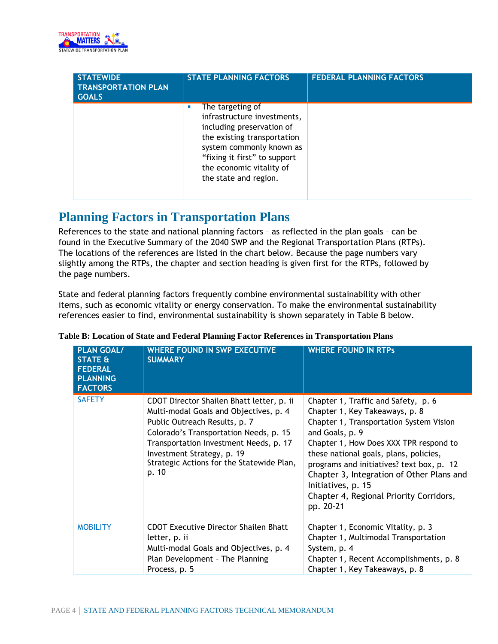

| <b>STATEWIDE</b><br><b>TRANSPORTATION PLAN</b><br><b>GOALS</b> | <b>STATE PLANNING FACTORS</b>                                                                                                                                                                                                | <b>FEDERAL PLANNING FACTORS</b> |
|----------------------------------------------------------------|------------------------------------------------------------------------------------------------------------------------------------------------------------------------------------------------------------------------------|---------------------------------|
|                                                                | The targeting of<br>infrastructure investments,<br>including preservation of<br>the existing transportation<br>system commonly known as<br>"fixing it first" to support<br>the economic vitality of<br>the state and region. |                                 |

### **Planning Factors in Transportation Plans**

References to the state and national planning factors – as reflected in the plan goals – can be found in the Executive Summary of the 2040 SWP and the Regional Transportation Plans (RTPs). The locations of the references are listed in the chart below. Because the page numbers vary slightly among the RTPs, the chapter and section heading is given first for the RTPs, followed by the page numbers.

State and federal planning factors frequently combine environmental sustainability with other items, such as economic vitality or energy conservation. To make the environmental sustainability references easier to find, environmental sustainability is shown separately in Table B below.

| <b>PLAN GOAL/</b><br><b>STATE &amp;</b><br><b>FEDERAL</b><br><b>PLANNING</b><br><b>FACTORS</b> | <b>WHERE FOUND IN SWP EXECUTIVE</b><br><b>SUMMARY</b>                                                                                                                                                                                                                                        | <b>WHERE FOUND IN RTPs</b>                                                                                                                                                                                                                                                                                                                                                                      |
|------------------------------------------------------------------------------------------------|----------------------------------------------------------------------------------------------------------------------------------------------------------------------------------------------------------------------------------------------------------------------------------------------|-------------------------------------------------------------------------------------------------------------------------------------------------------------------------------------------------------------------------------------------------------------------------------------------------------------------------------------------------------------------------------------------------|
| <b>SAFETY</b>                                                                                  | CDOT Director Shailen Bhatt letter, p. ii<br>Multi-modal Goals and Objectives, p. 4<br>Public Outreach Results, p. 7<br>Colorado's Transportation Needs, p. 15<br>Transportation Investment Needs, p. 17<br>Investment Strategy, p. 19<br>Strategic Actions for the Statewide Plan,<br>p. 10 | Chapter 1, Traffic and Safety, p. 6<br>Chapter 1, Key Takeaways, p. 8<br>Chapter 1, Transportation System Vision<br>and Goals, p. 9<br>Chapter 1, How Does XXX TPR respond to<br>these national goals, plans, policies,<br>programs and initiatives? text box, p. 12<br>Chapter 3, Integration of Other Plans and<br>Initiatives, p. 15<br>Chapter 4, Regional Priority Corridors,<br>pp. 20-21 |
| <b>MOBILITY</b>                                                                                | <b>CDOT Executive Director Shailen Bhatt</b><br>letter, p. ii<br>Multi-modal Goals and Objectives, p. 4<br>Plan Development - The Planning<br>Process, p. 5                                                                                                                                  | Chapter 1, Economic Vitality, p. 3<br>Chapter 1, Multimodal Transportation<br>System, p. 4<br>Chapter 1, Recent Accomplishments, p. 8<br>Chapter 1, Key Takeaways, p. 8                                                                                                                                                                                                                         |

#### **Table B: Location of State and Federal Planning Factor References in Transportation Plans**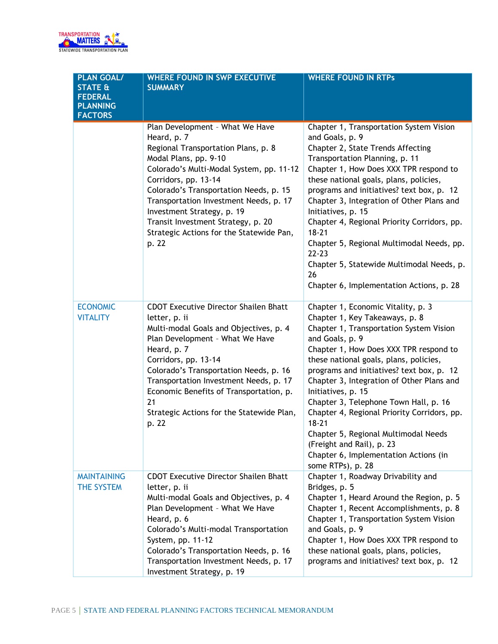

| <b>PLAN GOAL/</b><br><b>STATE &amp;</b><br><b>FEDERAL</b><br><b>PLANNING</b><br><b>FACTORS</b> | <b>WHERE FOUND IN SWP EXECUTIVE</b><br><b>SUMMARY</b>                                                                                                                                                                                                                                                                                                                                           | <b>WHERE FOUND IN RTPs</b>                                                                                                                                                                                                                                                                                                                                                                                                                                                                                                                                                     |
|------------------------------------------------------------------------------------------------|-------------------------------------------------------------------------------------------------------------------------------------------------------------------------------------------------------------------------------------------------------------------------------------------------------------------------------------------------------------------------------------------------|--------------------------------------------------------------------------------------------------------------------------------------------------------------------------------------------------------------------------------------------------------------------------------------------------------------------------------------------------------------------------------------------------------------------------------------------------------------------------------------------------------------------------------------------------------------------------------|
|                                                                                                | Plan Development - What We Have<br>Heard, p. 7<br>Regional Transportation Plans, p. 8<br>Modal Plans, pp. 9-10<br>Colorado's Multi-Modal System, pp. 11-12<br>Corridors, pp. 13-14<br>Colorado's Transportation Needs, p. 15<br>Transportation Investment Needs, p. 17<br>Investment Strategy, p. 19<br>Transit Investment Strategy, p. 20<br>Strategic Actions for the Statewide Pan,<br>p. 22 | Chapter 1, Transportation System Vision<br>and Goals, p. 9<br>Chapter 2, State Trends Affecting<br>Transportation Planning, p. 11<br>Chapter 1, How Does XXX TPR respond to<br>these national goals, plans, policies,<br>programs and initiatives? text box, p. 12<br>Chapter 3, Integration of Other Plans and<br>Initiatives, p. 15<br>Chapter 4, Regional Priority Corridors, pp.<br>$18 - 21$<br>Chapter 5, Regional Multimodal Needs, pp.<br>$22 - 23$<br>Chapter 5, Statewide Multimodal Needs, p.<br>26<br>Chapter 6, Implementation Actions, p. 28                     |
| <b>ECONOMIC</b><br><b>VITALITY</b>                                                             | <b>CDOT Executive Director Shailen Bhatt</b><br>letter, p. ii<br>Multi-modal Goals and Objectives, p. 4<br>Plan Development - What We Have<br>Heard, p. 7<br>Corridors, pp. 13-14<br>Colorado's Transportation Needs, p. 16<br>Transportation Investment Needs, p. 17<br>Economic Benefits of Transportation, p.<br>21<br>Strategic Actions for the Statewide Plan,<br>p. 22                    | Chapter 1, Economic Vitality, p. 3<br>Chapter 1, Key Takeaways, p. 8<br>Chapter 1, Transportation System Vision<br>and Goals, p. 9<br>Chapter 1, How Does XXX TPR respond to<br>these national goals, plans, policies,<br>programs and initiatives? text box, p. 12<br>Chapter 3, Integration of Other Plans and<br>Initiatives, p. 15<br>Chapter 3, Telephone Town Hall, p. 16<br>Chapter 4, Regional Priority Corridors, pp.<br>$18 - 21$<br>Chapter 5, Regional Multimodal Needs<br>(Freight and Rail), p. 23<br>Chapter 6, Implementation Actions (in<br>some RTPs), p. 28 |
| <b>MAINTAINING</b><br>THE SYSTEM                                                               | <b>CDOT Executive Director Shailen Bhatt</b><br>letter, p. ii<br>Multi-modal Goals and Objectives, p. 4<br>Plan Development - What We Have<br>Heard, p. 6<br>Colorado's Multi-modal Transportation<br>System, pp. 11-12<br>Colorado's Transportation Needs, p. 16<br>Transportation Investment Needs, p. 17<br>Investment Strategy, p. 19                                                       | Chapter 1, Roadway Drivability and<br>Bridges, p. 5<br>Chapter 1, Heard Around the Region, p. 5<br>Chapter 1, Recent Accomplishments, p. 8<br>Chapter 1, Transportation System Vision<br>and Goals, p. 9<br>Chapter 1, How Does XXX TPR respond to<br>these national goals, plans, policies,<br>programs and initiatives? text box, p. 12                                                                                                                                                                                                                                      |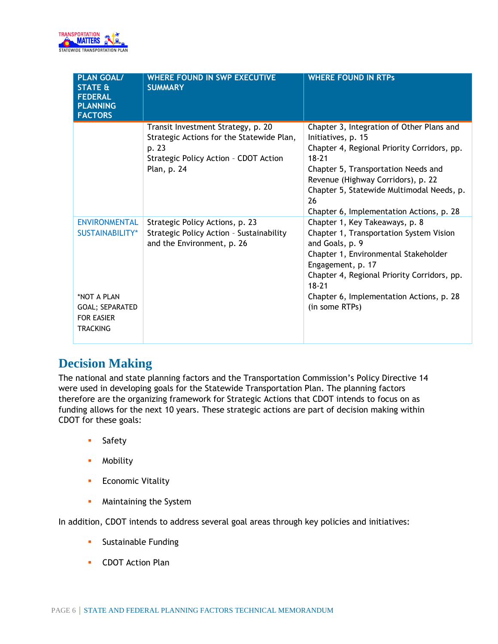

| <b>PLAN GOAL/</b><br><b>STATE &amp;</b><br><b>FEDERAL</b><br><b>PLANNING</b><br><b>FACTORS</b>                           | <b>WHERE FOUND IN SWP EXECUTIVE</b><br><b>SUMMARY</b>                                                                                            | <b>WHERE FOUND IN RTPs</b>                                                                                                                                                                                                                                                                              |
|--------------------------------------------------------------------------------------------------------------------------|--------------------------------------------------------------------------------------------------------------------------------------------------|---------------------------------------------------------------------------------------------------------------------------------------------------------------------------------------------------------------------------------------------------------------------------------------------------------|
|                                                                                                                          | Transit Investment Strategy, p. 20<br>Strategic Actions for the Statewide Plan,<br>p. 23<br>Strategic Policy Action - CDOT Action<br>Plan, p. 24 | Chapter 3, Integration of Other Plans and<br>Initiatives, p. 15<br>Chapter 4, Regional Priority Corridors, pp.<br>$18 - 21$<br>Chapter 5, Transportation Needs and<br>Revenue (Highway Corridors), p. 22<br>Chapter 5, Statewide Multimodal Needs, p.<br>26<br>Chapter 6, Implementation Actions, p. 28 |
| <b>ENVIRONMENTAL</b><br><b>SUSTAINABILITY*</b><br>*NOT A PLAN<br>GOAL; SEPARATED<br><b>FOR EASIER</b><br><b>TRACKING</b> | Strategic Policy Actions, p. 23<br>Strategic Policy Action - Sustainability<br>and the Environment, p. 26                                        | Chapter 1, Key Takeaways, p. 8<br>Chapter 1, Transportation System Vision<br>and Goals, p. 9<br>Chapter 1, Environmental Stakeholder<br>Engagement, p. 17<br>Chapter 4, Regional Priority Corridors, pp.<br>$18 - 21$<br>Chapter 6, Implementation Actions, p. 28<br>(in some RTPs)                     |

# **Decision Making**

The national and state planning factors and the Transportation Commission's Policy Directive 14 were used in developing goals for the Statewide Transportation Plan. The planning factors therefore are the organizing framework for Strategic Actions that CDOT intends to focus on as funding allows for the next 10 years. These strategic actions are part of decision making within CDOT for these goals:

- **Safety**
- **•** Mobility
- **Economic Vitality**
- **Maintaining the System**

In addition, CDOT intends to address several goal areas through key policies and initiatives:

- **Sustainable Funding**
- **CDOT Action Plan**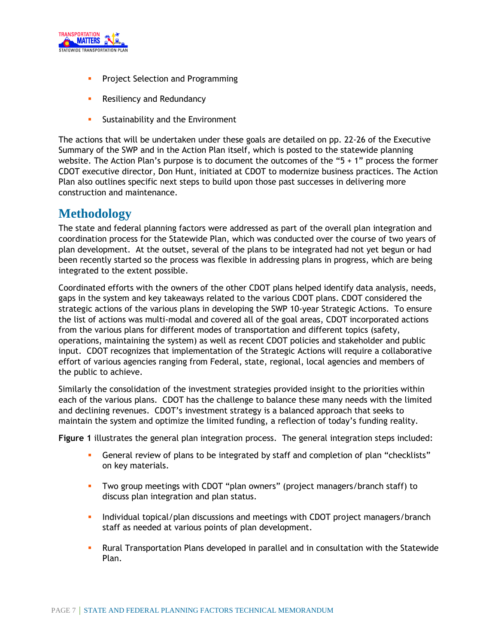

- **Project Selection and Programming**
- **Resiliency and Redundancy**
- **Sustainability and the Environment**

The actions that will be undertaken under these goals are detailed on pp. 22-26 of the Executive Summary of the SWP and in the Action Plan itself, which is posted to the statewide planning website. The Action Plan's purpose is to document the outcomes of the " $5 + 1$ " process the former CDOT executive director, Don Hunt, initiated at CDOT to modernize business practices. The Action Plan also outlines specific next steps to build upon those past successes in delivering more construction and maintenance.

#### **Methodology**

The state and federal planning factors were addressed as part of the overall plan integration and coordination process for the Statewide Plan, which was conducted over the course of two years of plan development. At the outset, several of the plans to be integrated had not yet begun or had been recently started so the process was flexible in addressing plans in progress, which are being integrated to the extent possible.

Coordinated efforts with the owners of the other CDOT plans helped identify data analysis, needs, gaps in the system and key takeaways related to the various CDOT plans. CDOT considered the strategic actions of the various plans in developing the SWP 10-year Strategic Actions. To ensure the list of actions was multi-modal and covered all of the goal areas, CDOT incorporated actions from the various plans for different modes of transportation and different topics (safety, operations, maintaining the system) as well as recent CDOT policies and stakeholder and public input. CDOT recognizes that implementation of the Strategic Actions will require a collaborative effort of various agencies ranging from Federal, state, regional, local agencies and members of the public to achieve.

Similarly the consolidation of the investment strategies provided insight to the priorities within each of the various plans. CDOT has the challenge to balance these many needs with the limited and declining revenues. CDOT's investment strategy is a balanced approach that seeks to maintain the system and optimize the limited funding, a reflection of today's funding reality.

**Figure 1** illustrates the general plan integration process. The general integration steps included:

- General review of plans to be integrated by staff and completion of plan "checklists" on key materials.
- Two group meetings with CDOT "plan owners" (project managers/branch staff) to discuss plan integration and plan status.
- Individual topical/plan discussions and meetings with CDOT project managers/branch staff as needed at various points of plan development.
- Rural Transportation Plans developed in parallel and in consultation with the Statewide Plan.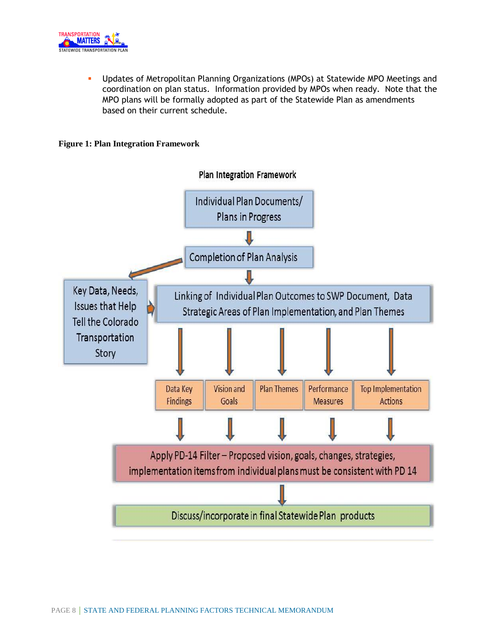

 Updates of Metropolitan Planning Organizations (MPOs) at Statewide MPO Meetings and coordination on plan status. Information provided by MPOs when ready. Note that the MPO plans will be formally adopted as part of the Statewide Plan as amendments based on their current schedule.

#### **Figure 1: Plan Integration Framework**

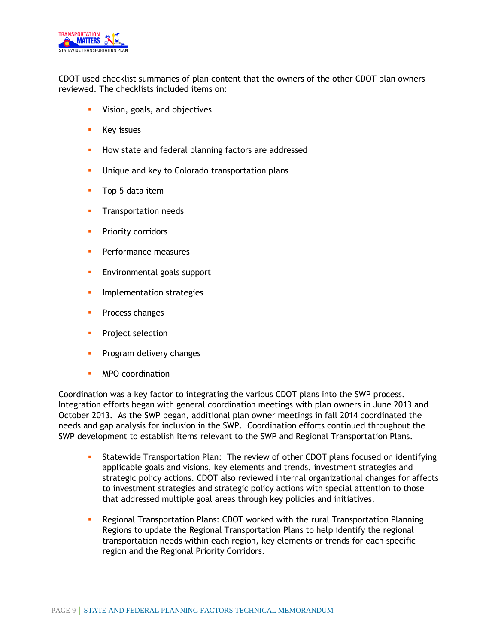

CDOT used checklist summaries of plan content that the owners of the other CDOT plan owners reviewed. The checklists included items on:

- **•** Vision, goals, and objectives
- **Key issues**
- **How state and federal planning factors are addressed**
- **Unique and key to Colorado transportation plans**
- **Top 5 data item**
- **Transportation needs**
- **Priority corridors**
- **Performance measures**
- **Environmental goals support**
- **Implementation strategies**
- **Process changes**
- **Project selection**
- **Program delivery changes**
- **MPO** coordination

Coordination was a key factor to integrating the various CDOT plans into the SWP process. Integration efforts began with general coordination meetings with plan owners in June 2013 and October 2013. As the SWP began, additional plan owner meetings in fall 2014 coordinated the needs and gap analysis for inclusion in the SWP. Coordination efforts continued throughout the SWP development to establish items relevant to the SWP and Regional Transportation Plans.

- Statewide Transportation Plan: The review of other CDOT plans focused on identifying applicable goals and visions, key elements and trends, investment strategies and strategic policy actions. CDOT also reviewed internal organizational changes for affects to investment strategies and strategic policy actions with special attention to those that addressed multiple goal areas through key policies and initiatives.
- Regional Transportation Plans: CDOT worked with the rural Transportation Planning Regions to update the Regional Transportation Plans to help identify the regional transportation needs within each region, key elements or trends for each specific region and the Regional Priority Corridors.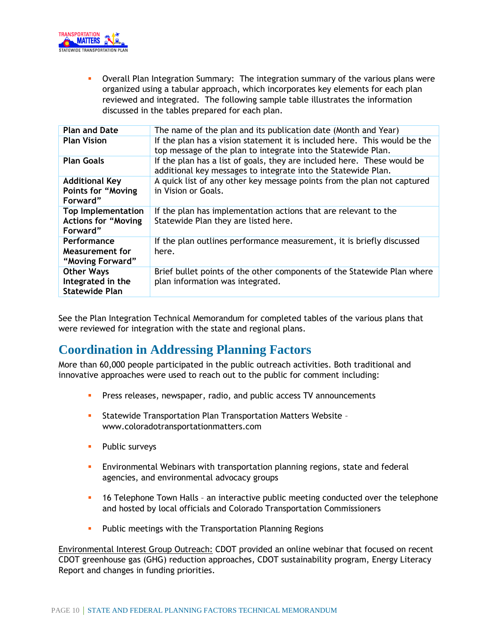

 Overall Plan Integration Summary: The integration summary of the various plans were organized using a tabular approach, which incorporates key elements for each plan reviewed and integrated. The following sample table illustrates the information discussed in the tables prepared for each plan.

| <b>Plan and Date</b>                                                | The name of the plan and its publication date (Month and Year)                                                                             |  |
|---------------------------------------------------------------------|--------------------------------------------------------------------------------------------------------------------------------------------|--|
| <b>Plan Vision</b>                                                  | If the plan has a vision statement it is included here. This would be the<br>top message of the plan to integrate into the Statewide Plan. |  |
| <b>Plan Goals</b>                                                   | If the plan has a list of goals, they are included here. These would be<br>additional key messages to integrate into the Statewide Plan.   |  |
| <b>Additional Key</b><br><b>Points for "Moving</b><br>Forward"      | A quick list of any other key message points from the plan not captured<br>in Vision or Goals.                                             |  |
| <b>Top Implementation</b><br><b>Actions for "Moving</b><br>Forward" | If the plan has implementation actions that are relevant to the<br>Statewide Plan they are listed here.                                    |  |
| Performance<br>Measurement for<br>"Moving Forward"                  | If the plan outlines performance measurement, it is briefly discussed<br>here.                                                             |  |
| <b>Other Ways</b><br>Integrated in the<br><b>Statewide Plan</b>     | Brief bullet points of the other components of the Statewide Plan where<br>plan information was integrated.                                |  |

See the Plan Integration Technical Memorandum for completed tables of the various plans that were reviewed for integration with the state and regional plans.

## **Coordination in Addressing Planning Factors**

More than 60,000 people participated in the public outreach activities. Both traditional and innovative approaches were used to reach out to the public for comment including:

- **Press releases, newspaper, radio, and public access TV announcements**
- Statewide Transportation Plan Transportation Matters Website www.coloradotransportationmatters.com
- **Public surveys**
- Environmental Webinars with transportation planning regions, state and federal agencies, and environmental advocacy groups
- 16 Telephone Town Halls an interactive public meeting conducted over the telephone and hosted by local officials and Colorado Transportation Commissioners
- **Public meetings with the Transportation Planning Regions**

Environmental Interest Group Outreach: CDOT provided an online webinar that focused on recent CDOT greenhouse gas (GHG) reduction approaches, CDOT sustainability program, Energy Literacy Report and changes in funding priorities.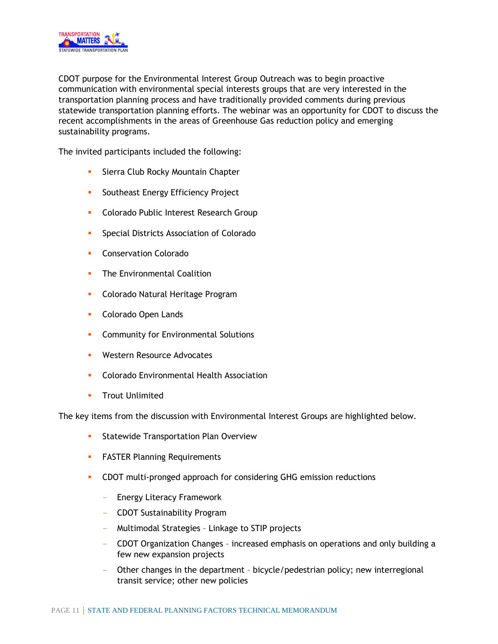

CDOT purpose for the Environmental Interest Group Outreach was to begin proactive communication with environmental special interests groups that are very interested in the transportation planning process and have traditionally provided comments during previous statewide transportation planning efforts. The webinar was an opportunity for CDOT to discuss the recent accomplishments in the areas of Greenhouse Gas reduction policy and emerging sustainability programs.

The invited participants included the following:

- **Sierra Club Rocky Mountain Chapter**
- **Southeast Energy Efficiency Project**
- **Colorado Public Interest Research Group**
- **Special Districts Association of Colorado**
- **Conservation Colorado**
- **The Environmental Coalition**
- **-** Colorado Natural Heritage Program
- **Colorado Open Lands**
- **Community for Environmental Solutions**
- **Western Resource Advocates**
- **Colorado Environmental Health Association**
- **Trout Unlimited**

The key items from the discussion with Environmental Interest Groups are highlighted below.

- **Statewide Transportation Plan Overview**
- **FASTER Planning Requirements**
- **CDOT** multi-pronged approach for considering GHG emission reductions
	- Energy Literacy Framework
	- CDOT Sustainability Program
	- Multimodal Strategies Linkage to STIP projects
	- CDOT Organization Changes increased emphasis on operations and only building a few new expansion projects
	- Other changes in the department bicycle/pedestrian policy; new interregional transit service; other new policies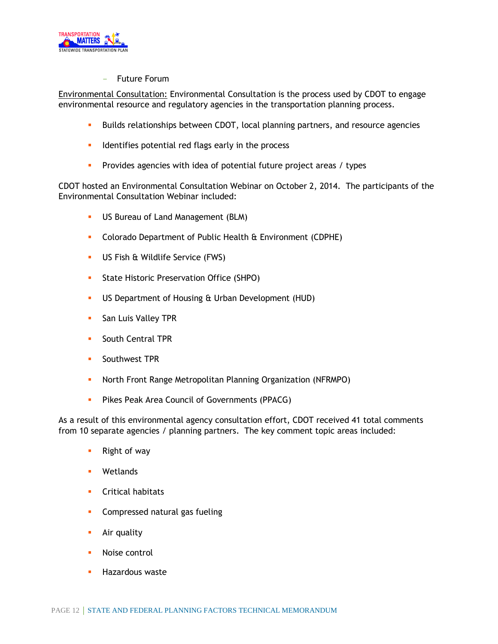

**Future Forum** 

Environmental Consultation: Environmental Consultation is the process used by CDOT to engage environmental resource and regulatory agencies in the transportation planning process.

- **Builds relationships between CDOT, local planning partners, and resource agencies**
- **IDED** Identifies potential red flags early in the process
- **Provides agencies with idea of potential future project areas / types**

CDOT hosted an Environmental Consultation Webinar on October 2, 2014. The participants of the Environmental Consultation Webinar included:

- **US Bureau of Land Management (BLM)**
- **Colorado Department of Public Health & Environment (CDPHE)**
- US Fish & Wildlife Service (FWS)
- **State Historic Preservation Office (SHPO)**
- US Department of Housing & Urban Development (HUD)
- **San Luis Valley TPR**
- **South Central TPR**
- **Southwest TPR**
- **North Front Range Metropolitan Planning Organization (NFRMPO)**
- **Pikes Peak Area Council of Governments (PPACG)**

As a result of this environmental agency consultation effort, CDOT received 41 total comments from 10 separate agencies / planning partners. The key comment topic areas included:

- **Right of way**
- **Wetlands**
- **Critical habitats**
- **Compressed natural gas fueling**
- **Air quality**
- **Noise control**
- **Hazardous waste**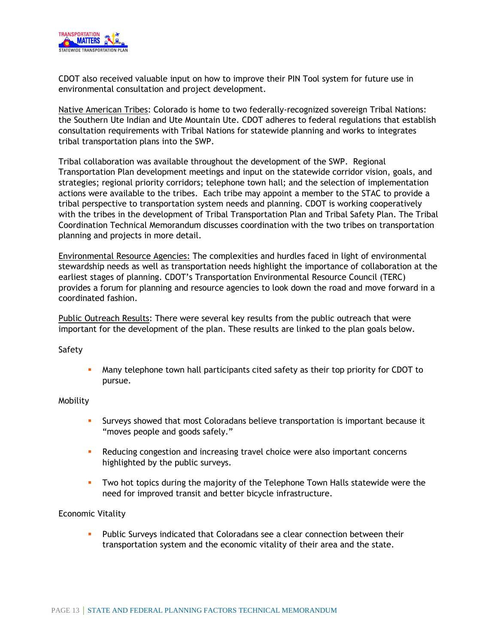

CDOT also received valuable input on how to improve their PIN Tool system for future use in environmental consultation and project development.

Native American Tribes: Colorado is home to two federally-recognized sovereign Tribal Nations: the Southern Ute Indian and Ute Mountain Ute. CDOT adheres to federal regulations that establish consultation requirements with Tribal Nations for statewide planning and works to integrates tribal transportation plans into the SWP.

Tribal collaboration was available throughout the development of the SWP. Regional Transportation Plan development meetings and input on the statewide corridor vision, goals, and strategies; regional priority corridors; telephone town hall; and the selection of implementation actions were available to the tribes. Each tribe may appoint a member to the STAC to provide a tribal perspective to transportation system needs and planning. CDOT is working cooperatively with the tribes in the development of Tribal Transportation Plan and Tribal Safety Plan. The Tribal Coordination Technical Memorandum discusses coordination with the two tribes on transportation planning and projects in more detail.

Environmental Resource Agencies: The complexities and hurdles faced in light of environmental stewardship needs as well as transportation needs highlight the importance of collaboration at the earliest stages of planning. CDOT's Transportation Environmental Resource Council (TERC) provides a forum for planning and resource agencies to look down the road and move forward in a coordinated fashion.

Public Outreach Results: There were several key results from the public outreach that were important for the development of the plan. These results are linked to the plan goals below.

Safety

 Many telephone town hall participants cited safety as their top priority for CDOT to pursue.

#### Mobility

- Surveys showed that most Coloradans believe transportation is important because it "moves people and goods safely."
- **Reducing congestion and increasing travel choice were also important concerns** highlighted by the public surveys.
- Two hot topics during the majority of the Telephone Town Halls statewide were the need for improved transit and better bicycle infrastructure.

#### Economic Vitality

 Public Surveys indicated that Coloradans see a clear connection between their transportation system and the economic vitality of their area and the state.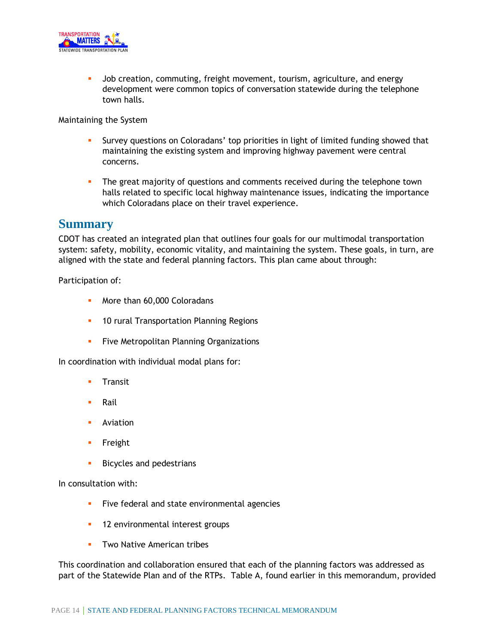

 Job creation, commuting, freight movement, tourism, agriculture, and energy development were common topics of conversation statewide during the telephone town halls.

Maintaining the System

- Survey questions on Coloradans' top priorities in light of limited funding showed that maintaining the existing system and improving highway pavement were central concerns.
- The great majority of questions and comments received during the telephone town halls related to specific local highway maintenance issues, indicating the importance which Coloradans place on their travel experience.

#### **Summary**

CDOT has created an integrated plan that outlines four goals for our multimodal transportation system: safety, mobility, economic vitality, and maintaining the system. These goals, in turn, are aligned with the state and federal planning factors. This plan came about through:

Participation of:

- **More than 60,000 Coloradans**
- **10 rural Transportation Planning Regions**
- **Five Metropolitan Planning Organizations**

In coordination with individual modal plans for:

- **Transit**
- **Rail**
- **Aviation**
- **Freight**
- **Bicycles and pedestrians**

In consultation with:

- **Five federal and state environmental agencies**
- **12 environmental interest groups**
- **Two Native American tribes**

This coordination and collaboration ensured that each of the planning factors was addressed as part of the Statewide Plan and of the RTPs. Table A, found earlier in this memorandum, provided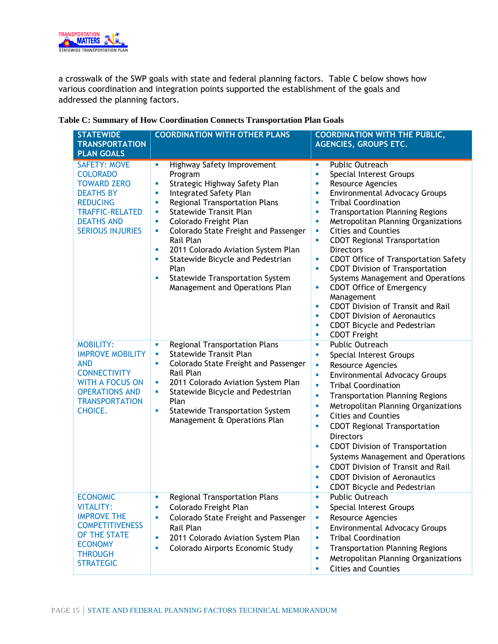

a crosswalk of the SWP goals with state and federal planning factors. Table C below shows how various coordination and integration points supported the establishment of the goals and addressed the planning factors.

| <b>STATEWIDE</b><br><b>TRANSPORTATION</b><br><b>PLAN GOALS</b>                                                                                                                | <b>COORDINATION WITH OTHER PLANS</b>                                                                                                                                                                                                                                                                                                                                                                                                                              | <b>COORDINATION WITH THE PUBLIC,</b><br><b>AGENCIES, GROUPS ETC.</b>                                                                                                                                                                                                                                                                                                                                                                                                                                                                                                                                                                                                                                                           |
|-------------------------------------------------------------------------------------------------------------------------------------------------------------------------------|-------------------------------------------------------------------------------------------------------------------------------------------------------------------------------------------------------------------------------------------------------------------------------------------------------------------------------------------------------------------------------------------------------------------------------------------------------------------|--------------------------------------------------------------------------------------------------------------------------------------------------------------------------------------------------------------------------------------------------------------------------------------------------------------------------------------------------------------------------------------------------------------------------------------------------------------------------------------------------------------------------------------------------------------------------------------------------------------------------------------------------------------------------------------------------------------------------------|
| <b>SAFETY: MOVE</b><br><b>COLORADO</b><br><b>TOWARD ZERO</b><br><b>DEATHS BY</b><br><b>REDUCING</b><br><b>TRAFFIC-RELATED</b><br><b>DEATHS AND</b><br><b>SERIOUS INJURIES</b> | Highway Safety Improvement<br>u,<br>Program<br>Strategic Highway Safety Plan<br>×<br>Integrated Safety Plan<br>ш<br>Regional Transportation Plans<br>×<br><b>Statewide Transit Plan</b><br>×<br>Colorado Freight Plan<br>×<br>Colorado State Freight and Passenger<br>ш<br>Rail Plan<br>2011 Colorado Aviation System Plan<br>×<br>Statewide Bicycle and Pedestrian<br>ш<br>Plan<br><b>Statewide Transportation System</b><br>×<br>Management and Operations Plan | Public Outreach<br>×<br>Special Interest Groups<br>ш<br>Resource Agencies<br>ш<br><b>Environmental Advocacy Groups</b><br>ш<br><b>Tribal Coordination</b><br>ш<br><b>Transportation Planning Regions</b><br>×<br>Metropolitan Planning Organizations<br>×<br><b>Cities and Counties</b><br>×<br><b>CDOT Regional Transportation</b><br>×<br><b>Directors</b><br><b>CDOT Office of Transportation Safety</b><br>×<br><b>CDOT Division of Transportation</b><br>×<br>Systems Management and Operations<br><b>CDOT Office of Emergency</b><br>×<br>Management<br><b>CDOT Division of Transit and Rail</b><br>×<br><b>CDOT Division of Aeronautics</b><br>×<br><b>CDOT Bicycle and Pedestrian</b><br>ш<br><b>CDOT Freight</b><br>ш |
| <b>MOBILITY:</b><br><b>IMPROVE MOBILITY</b><br><b>AND</b><br><b>CONNECTIVITY</b><br><b>WITH A FOCUS ON</b><br><b>OPERATIONS AND</b><br><b>TRANSPORTATION</b><br>CHOICE.       | <b>Regional Transportation Plans</b><br>ш<br><b>Statewide Transit Plan</b><br>ш<br>Colorado State Freight and Passenger<br>×<br>Rail Plan<br>2011 Colorado Aviation System Plan<br>ш<br>Statewide Bicycle and Pedestrian<br>ш<br>Plan<br><b>Statewide Transportation System</b><br>ш<br>Management & Operations Plan                                                                                                                                              | <b>Public Outreach</b><br>ш<br>Special Interest Groups<br>ш<br>Resource Agencies<br>ш<br><b>Environmental Advocacy Groups</b><br>ш<br><b>Tribal Coordination</b><br>u,<br><b>Transportation Planning Regions</b><br>ш<br>Metropolitan Planning Organizations<br>U,<br><b>Cities and Counties</b><br>ш<br><b>CDOT Regional Transportation</b><br>×<br><b>Directors</b><br><b>CDOT Division of Transportation</b><br>×<br>Systems Management and Operations<br><b>CDOT Division of Transit and Rail</b><br>ш<br><b>CDOT Division of Aeronautics</b><br>×<br><b>CDOT Bicycle and Pedestrian</b><br>ш                                                                                                                              |
| <b>ECONOMIC</b><br><b>VITALITY:</b><br><b>IMPROVE THE</b><br><b>COMPETITIVENESS</b><br>OF THE STATE<br><b>ECONOMY</b><br><b>THROUGH</b><br><b>STRATEGIC</b>                   | Regional Transportation Plans<br>ш<br>Colorado Freight Plan<br>ш<br>Colorado State Freight and Passenger<br>×<br>Rail Plan<br>2011 Colorado Aviation System Plan<br>ш<br>Colorado Airports Economic Study<br>×                                                                                                                                                                                                                                                    | Public Outreach<br>ш<br>Special Interest Groups<br>ш<br>Resource Agencies<br>U,<br><b>Environmental Advocacy Groups</b><br>ш<br><b>Tribal Coordination</b><br>U,<br><b>Transportation Planning Regions</b><br>ш<br>Metropolitan Planning Organizations<br>ш<br><b>Cities and Counties</b><br>ш                                                                                                                                                                                                                                                                                                                                                                                                                                 |

**Table C: Summary of How Coordination Connects Transportation Plan Goals**